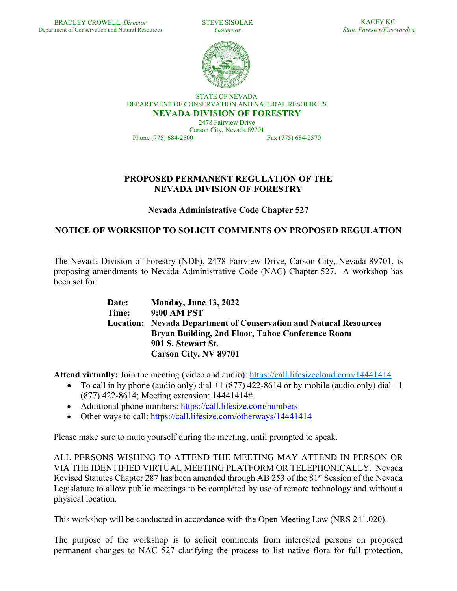STEVE SISOLAK *Governor*



STATE OF NEVADA DEPARTMENT OF CONSERVATION AND NATURAL RESOURCES **NEVADA DIVISION OF FORESTRY**

2478 Fairview Drive Carson City, Nevada 89701 Phone (775) 684-2500 Fax (775) 684-2570

## **PROPOSED PERMANENT REGULATION OF THE NEVADA DIVISION OF FORESTRY**

**Nevada Administrative Code Chapter 527**

## **NOTICE OF WORKSHOP TO SOLICIT COMMENTS ON PROPOSED REGULATION**

The Nevada Division of Forestry (NDF), 2478 Fairview Drive, Carson City, Nevada 89701, is proposing amendments to Nevada Administrative Code (NAC) Chapter 527. A workshop has been set for:

| Date: | <b>Monday, June 13, 2022</b>                                             |
|-------|--------------------------------------------------------------------------|
| Time: | 9:00 AM PST                                                              |
|       | <b>Location:</b> Nevada Department of Conservation and Natural Resources |
|       | Bryan Building, 2nd Floor, Tahoe Conference Room                         |
|       | 901 S. Stewart St.                                                       |
|       | <b>Carson City, NV 89701</b>                                             |

**Attend virtually:** Join the meeting (video and audio): https://call.lifesizecloud.com/14441414

- To call in by phone (audio only) dial  $+1$  (877) 422-8614 or by mobile (audio only) dial  $+1$ (877) 422-8614; Meeting extension: 14441414#.
- Additional phone numbers: https://call.lifesize.com/numbers
- Other ways to call: https://call.lifesize.com/otherways/1444141414

Please make sure to mute yourself during the meeting, until prompted to speak.

ALL PERSONS WISHING TO ATTEND THE MEETING MAY ATTEND IN PERSON OR VIA THE IDENTIFIED VIRTUAL MEETING PLATFORM OR TELEPHONICALLY. Nevada Revised Statutes Chapter 287 has been amended through AB 253 of the 81<sup>st</sup> Session of the Nevada Legislature to allow public meetings to be completed by use of remote technology and without a physical location.

This workshop will be conducted in accordance with the Open Meeting Law (NRS 241.020).

The purpose of the workshop is to solicit comments from interested persons on proposed permanent changes to NAC 527 clarifying the process to list native flora for full protection,